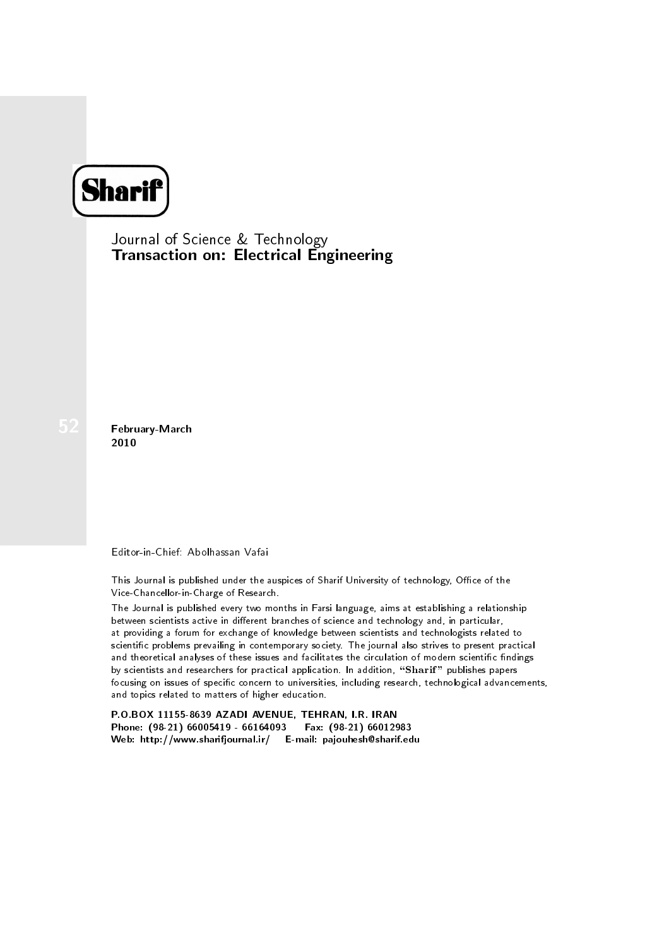

Journal of Science & Technology Transaction on: Electrical Engineering

February-March 2010

Editor-in-Chief: Abolhassan Vafai

This Journal is published under the auspices of Sharif University of technology, Office of the Vice-Chancellor-in-Charge of Research.

The Journal is published every two months in Farsi language, aims at establishing a relationship between scientists active in different branches of science and technology and, in particular, at providing a forum for exchange of knowledge between scientists and technologists related to scientic problems prevailing in contemporary society. The journal also strives to present practical and theoretical analyses of these issues and facilitates the circulation of modern scientific findings by scientists and researchers for practical application. In addition, "Sharif" publishes papers focusing on issues of specific concern to universities, including research, technological advancements, and topics related to matters of higher education.

P.O.BOX 11155-8639 AZADI AVENUE, TEHRAN, I.R. IRAN Phone: (98-21) 66005419 - 66164093 Fax: (98-21) 66012983 Web: http://www.sharifjournal.ir/ E-mail: pajouhesh@sharif.edu